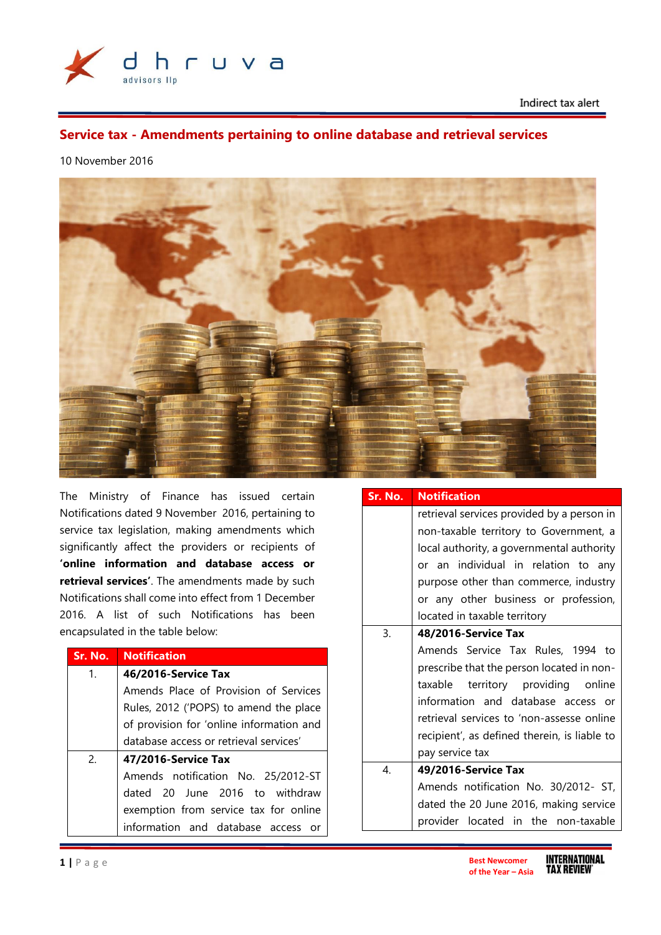

Indirect tax alert

# **Service tax - Amendments pertaining to online database and retrieval services**

# 10 November 2016



The Ministry of Finance has issued certain Notifications dated 9 November 2016, pertaining to service tax legislation, making amendments which significantly affect the providers or recipients of **'online information and database access or retrieval services'**. The amendments made by such Notifications shall come into effect from 1 December 2016. A list of such Notifications has been encapsulated in the table below:

| Sr. No.        | <b>Notification</b>                      |
|----------------|------------------------------------------|
| $\mathbf{1}$ . | 46/2016-Service Tax                      |
|                | Amends Place of Provision of Services    |
|                | Rules, 2012 ('POPS) to amend the place   |
|                | of provision for 'online information and |
|                | database access or retrieval services'   |
| 2.             | 47/2016-Service Tax                      |
|                | Amends notification No. 25/2012-ST       |
|                | dated 20 June 2016 to withdraw           |
|                | exemption from service tax for online    |
|                | information and database access or       |

| Sr. No. | <b>Notification</b>                          |
|---------|----------------------------------------------|
|         | retrieval services provided by a person in   |
|         | non-taxable territory to Government, a       |
|         | local authority, a governmental authority    |
|         | or an individual in relation to any          |
|         | purpose other than commerce, industry        |
|         | or any other business or profession,         |
|         | located in taxable territory                 |
| 3.      | 48/2016-Service Tax                          |
|         | Amends Service Tax Rules, 1994 to            |
|         | prescribe that the person located in non-    |
|         | taxable territory providing online           |
|         | information and database access or           |
|         | retrieval services to 'non-assesse online    |
|         | recipient', as defined therein, is liable to |
|         | pay service tax                              |
| 4.      | 49/2016-Service Tax                          |
|         | Amends notification No. 30/2012- ST,         |
|         | dated the 20 June 2016, making service       |
|         | provider located in the non-taxable          |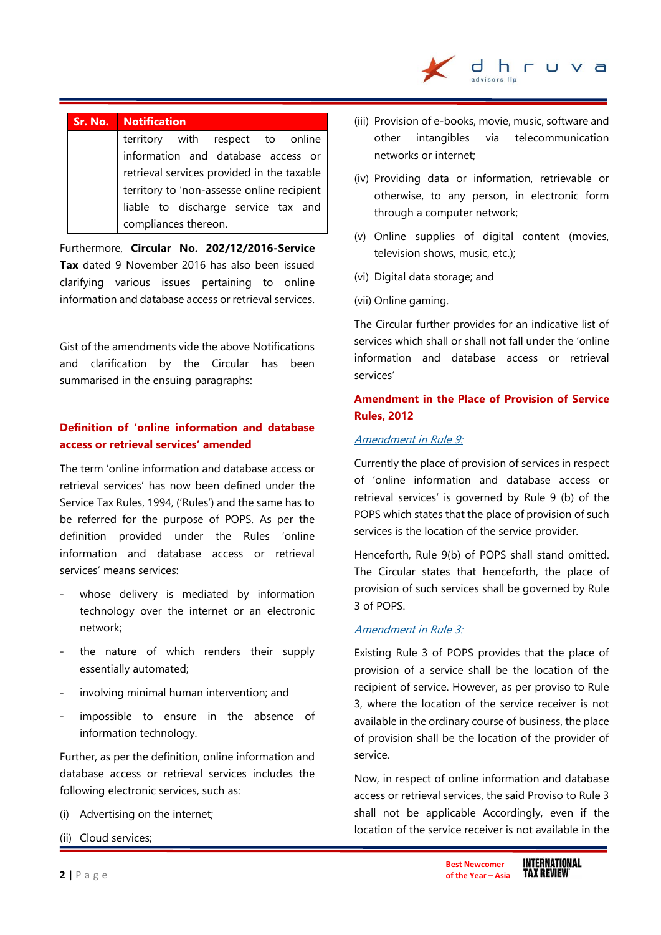

# **Sr. No. Notification**

territory with respect to online information and database access or retrieval services provided in the taxable territory to 'non-assesse online recipient liable to discharge service tax and compliances thereon.

Furthermore, **Circular No. 202/12/2016-Service Tax** dated 9 November 2016 has also been issued clarifying various issues pertaining to online information and database access or retrieval services.

Gist of the amendments vide the above Notifications and clarification by the Circular has been summarised in the ensuing paragraphs:

# **Definition of 'online information and database access or retrieval services' amended**

The term 'online information and database access or retrieval services' has now been defined under the Service Tax Rules, 1994, ('Rules') and the same has to be referred for the purpose of POPS. As per the definition provided under the Rules 'online information and database access or retrieval services' means services:

- whose delivery is mediated by information technology over the internet or an electronic network;
- the nature of which renders their supply essentially automated;
- involving minimal human intervention; and
- impossible to ensure in the absence of information technology.

Further, as per the definition, online information and database access or retrieval services includes the following electronic services, such as:

- (i) Advertising on the internet;
- (ii) Cloud services;
- (iii) Provision of e-books, movie, music, software and other intangibles via telecommunication networks or internet;
- (iv) Providing data or information, retrievable or otherwise, to any person, in electronic form through a computer network;
- (v) Online supplies of digital content (movies, television shows, music, etc.);
- (vi) Digital data storage; and
- (vii) Online gaming.

The Circular further provides for an indicative list of services which shall or shall not fall under the 'online information and database access or retrieval services'

# **Amendment in the Place of Provision of Service Rules, 2012**

#### Amendment in Rule 9:

Currently the place of provision of services in respect of 'online information and database access or retrieval services' is governed by Rule 9 (b) of the POPS which states that the place of provision of such services is the location of the service provider.

Henceforth, Rule 9(b) of POPS shall stand omitted. The Circular states that henceforth, the place of provision of such services shall be governed by Rule 3 of POPS.

#### Amendment in Rule 3:

Existing Rule 3 of POPS provides that the place of provision of a service shall be the location of the recipient of service. However, as per proviso to Rule 3, where the location of the service receiver is not available in the ordinary course of business, the place of provision shall be the location of the provider of service.

Now, in respect of online information and database access or retrieval services, the said Proviso to Rule 3 shall not be applicable Accordingly, even if the location of the service receiver is not available in the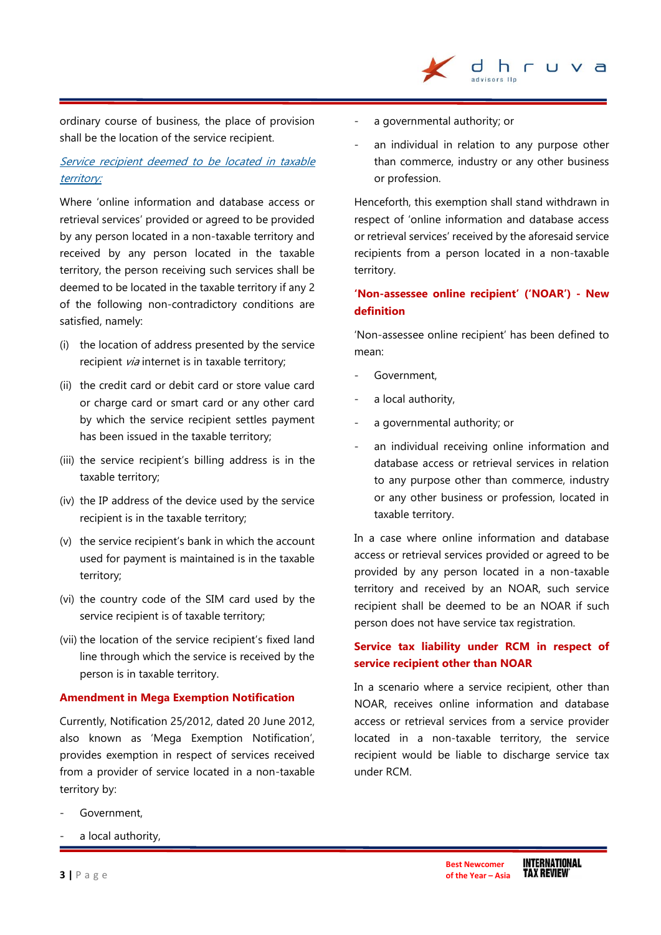

ordinary course of business, the place of provision shall be the location of the service recipient.

# Service recipient deemed to be located in taxable territory:

Where 'online information and database access or retrieval services' provided or agreed to be provided by any person located in a non-taxable territory and received by any person located in the taxable territory, the person receiving such services shall be deemed to be located in the taxable territory if any 2 of the following non-contradictory conditions are satisfied, namely:

- (i) the location of address presented by the service recipient *via* internet is in taxable territory;
- (ii) the credit card or debit card or store value card or charge card or smart card or any other card by which the service recipient settles payment has been issued in the taxable territory;
- (iii) the service recipient's billing address is in the taxable territory;
- (iv) the IP address of the device used by the service recipient is in the taxable territory;
- (v) the service recipient's bank in which the account used for payment is maintained is in the taxable territory;
- (vi) the country code of the SIM card used by the service recipient is of taxable territory;
- (vii) the location of the service recipient's fixed land line through which the service is received by the person is in taxable territory.

### **Amendment in Mega Exemption Notification**

Currently, Notification 25/2012, dated 20 June 2012, also known as 'Mega Exemption Notification', provides exemption in respect of services received from a provider of service located in a non-taxable territory by:

- Government,
- a local authority,
- a governmental authority; or
- an individual in relation to any purpose other than commerce, industry or any other business or profession.

Henceforth, this exemption shall stand withdrawn in respect of 'online information and database access or retrieval services' received by the aforesaid service recipients from a person located in a non-taxable territory.

# **'Non-assessee online recipient' ('NOAR') - New definition**

'Non-assessee online recipient' has been defined to mean:

- Government,
- a local authority,
- a governmental authority; or
- an individual receiving online information and database access or retrieval services in relation to any purpose other than commerce, industry or any other business or profession, located in taxable territory.

In a case where online information and database access or retrieval services provided or agreed to be provided by any person located in a non-taxable territory and received by an NOAR, such service recipient shall be deemed to be an NOAR if such person does not have service tax registration.

# **Service tax liability under RCM in respect of service recipient other than NOAR**

In a scenario where a service recipient, other than NOAR, receives online information and database access or retrieval services from a service provider located in a non-taxable territory, the service recipient would be liable to discharge service tax under RCM.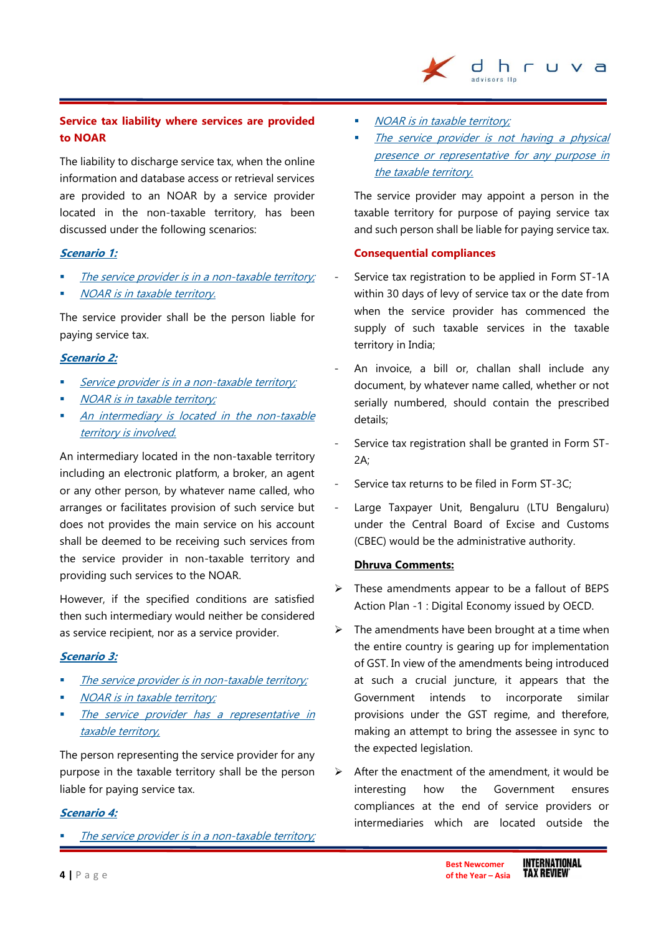# **Service tax liability where services are provided to NOAR**

The liability to discharge service tax, when the online information and database access or retrieval services are provided to an NOAR by a service provider located in the non-taxable territory, has been discussed under the following scenarios:

### **Scenario 1:**

- The service provider is in <sup>a</sup> non-taxable territory;
- NOAR is in taxable territory.

The service provider shall be the person liable for paying service tax.

### **Scenario 2:**

- Service provider is in a non-taxable territory;
- NOAR is in taxable territory;
- An intermediary is located in the non-taxable territory is involved.

An intermediary located in the non-taxable territory including an electronic platform, a broker, an agent or any other person, by whatever name called, who arranges or facilitates provision of such service but does not provides the main service on his account shall be deemed to be receiving such services from the service provider in non-taxable territory and providing such services to the NOAR.

However, if the specified conditions are satisfied then such intermediary would neither be considered as service recipient, nor as a service provider.

#### **Scenario 3:**

- The service provider is in non-taxable territory;
- NOAR is in taxable territory;
- The service provider has a representative in taxable territory,

The person representing the service provider for any purpose in the taxable territory shall be the person liable for paying service tax.

#### **Scenario 4:**

The service provider is in <sup>a</sup> non-taxable territory;

- NOAR is in taxable territory;
- The service provider is not having a physical presence or representative for any purpose in the taxable territory.

dhr

 $U$   $V$  a

The service provider may appoint a person in the taxable territory for purpose of paying service tax and such person shall be liable for paying service tax.

#### **Consequential compliances**

- Service tax registration to be applied in Form ST-1A within 30 days of levy of service tax or the date from when the service provider has commenced the supply of such taxable services in the taxable territory in India;
- An invoice, a bill or, challan shall include any document, by whatever name called, whether or not serially numbered, should contain the prescribed details;
- Service tax registration shall be granted in Form ST-2A;
- Service tax returns to be filed in Form ST-3C:
- Large Taxpayer Unit, Bengaluru (LTU Bengaluru) under the Central Board of Excise and Customs (CBEC) would be the administrative authority.

#### **Dhruva Comments:**

- $\triangleright$  These amendments appear to be a fallout of BEPS Action Plan -1 : Digital Economy issued by OECD.
- $\triangleright$  The amendments have been brought at a time when the entire country is gearing up for implementation of GST. In view of the amendments being introduced at such a crucial juncture, it appears that the Government intends to incorporate similar provisions under the GST regime, and therefore, making an attempt to bring the assessee in sync to the expected legislation.
- $\triangleright$  After the enactment of the amendment, it would be interesting how the Government ensures compliances at the end of service providers or intermediaries which are located outside the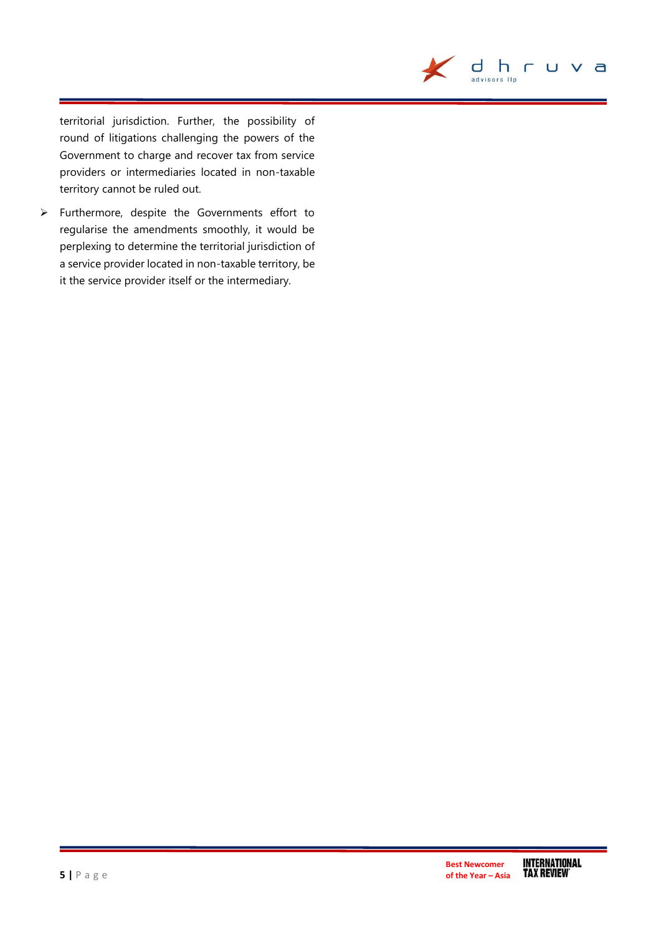

territorial jurisdiction. Further, the possibility of round of litigations challenging the powers of the Government to charge and recover tax from service providers or intermediaries located in non-taxable territory cannot be ruled out.

 Furthermore, despite the Governments effort to regularise the amendments smoothly, it would be perplexing to determine the territorial jurisdiction of a service provider located in non-taxable territory, be it the service provider itself or the intermediary.